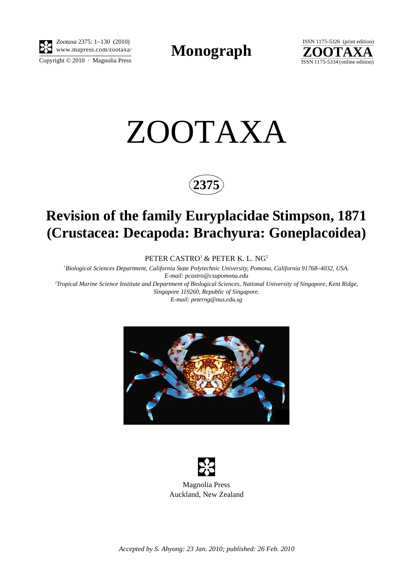

Copyright  $\odot$  2010 · Magnolia Press *Zootaxa* 2375: 1–130 (2010) www.mapress.com/zootaxa/ **Monograph**



# ZOOTAXA



# **Revision of the family Euryplacidae Stimpson, 1871 (Crustacea: Decapoda: Brachyura: Goneplacoidea)**

PETER CASTRO $^{\rm l}$  & PETER K. L. NG $^{\rm 2}$ 

*1 Biological Sciences Department, California State Polytechnic University, Pomona, California 91768–4032, USA. E-mail: pcastro@csupomona.edu 2 Tropical Marine Science Institute and Department of Biological Sciences, National University of Singapore, Kent Ridge,* 

*Singapore 119260, Republic of Singapore. E-mail: peterng@nus.edu.sg*





*Accepted by S. Ahyong: 23 Jan. 2010; published: 26 Feb. 2010*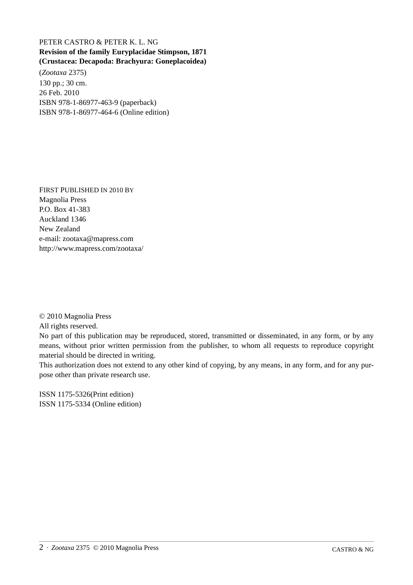## PETER CASTRO & PETER K. L. NG **Revision of the family Euryplacidae Stimpson, 1871 (Crustacea: Decapoda: Brachyura: Goneplacoidea)**

(*Zootaxa* 2375) 130 pp.; 30 cm. 26 Feb. 2010 ISBN 978-1-86977-463-9 (paperback) ISBN 978-1-86977-464-6 (Online edition)

FIRST PUBLISHED IN 2010 BY Magnolia Press P.O. Box 41-383 Auckland 1346 New Zealand e-mail: zootaxa@mapress.com http://www.mapress.com/zootaxa/

© 2010 Magnolia Press

All rights reserved.

No part of this publication may be reproduced, stored, transmitted or disseminated, in any form, or by any means, without prior written permission from the publisher, to whom all requests to reproduce copyright material should be directed in writing.

This authorization does not extend to any other kind of copying, by any means, in any form, and for any purpose other than private research use.

ISSN 1175-5326(Print edition) ISSN 1175-5334 (Online edition)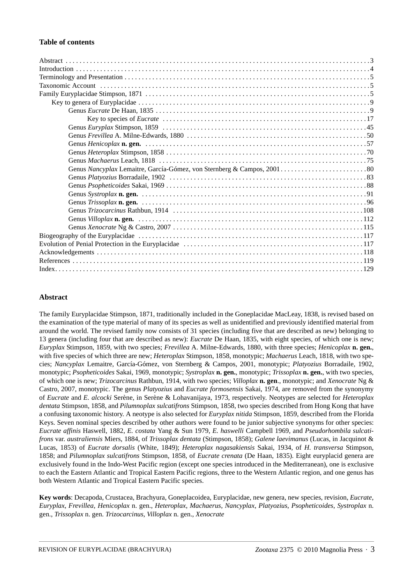#### **Table of contents**

### **Abstract**

The family Euryplacidae Stimpson, 1871, traditionally included in the Goneplacidae MacLeay, 1838, is revised based on the examination of the type material of many of its species as well as unidentified and previously identified material from around the world. The revised family now consists of 31 species (including five that are described as new) belonging to 13 genera (including four that are described as new): *Eucrate* De Haan, 1835, with eight species, of which one is new; *Euryplax* Stimpson, 1859, with two species; *Frevillea* A. Milne-Edwards, 1880, with three species; *Henicoplax* **n. gen.**, with five species of which three are new; *Heteroplax* Stimpson, 1858, monotypic; *Machaerus* Leach, 1818, with two species; *Nancyplax* Lemaitre, García-Gómez, von Sternberg & Campos, 2001, monotypic; *Platyozius* Borradaile, 1902, monotypic; *Psopheticoides* Sakai, 1969, monotypic; *Systroplax* **n. gen.**, monotypic; *Trissoplax* **n. gen.**, with two species, of which one is new; *Trizocarcinus* Rathbun, 1914, with two species; *Villoplax* **n. gen**., monotypic; and *Xenocrate* Ng & Castro, 2007, monotypic. The genus *Platyozius* and *Eucrate formosensis* Sakai, 1974, are removed from the synonymy of *Eucrate* and *E. alcocki* Serène, in Serène & Lohavanijaya, 1973, respectively. Neotypes are selected for *Heteroplax dentata* Stimpson, 1858, and *Pilumnoplax sulcatifrons* Stimpson, 1858, two species described from Hong Kong that have a confusing taxonomic history. A neotype is also selected for *Euryplax nitida* Stimpson, 1859, described from the Florida Keys. Seven nominal species described by other authors were found to be junior subjective synonyms for other species: *Eucrate affinis* Haswell, 1882, *E. costata* Yang & Sun 1979, *E. haswelli* Campbell 1969, and *Pseudorhombila sulcatifrons* var. *australiensis* Miers, 1884, of *Trissoplax dentata* (Stimpson, 1858); *Galene laevimanus* (Lucas, in Jacquinot & Lucas, 1853) of *Eucrate dorsalis* (White, 1849); *Heteroplax nagasakiensis* Sakai, 1934, of *H. transversa* Stimpson, 1858; and *Pilumnoplax sulcatifrons* Stimpson, 1858, of *Eucrate crenata* (De Haan, 1835). Eight euryplacid genera are exclusively found in the Indo-West Pacific region (except one species introduced in the Mediterranean), one is exclusive to each the Eastern Atlantic and Tropical Eastern Pacific regions, three to the Western Atlantic region, and one genus has both Western Atlantic and Tropical Eastern Pacific species.

**Key words**: Decapoda, Crustacea, Brachyura, Goneplacoidea, Euryplacidae, new genera, new species, revision, *Eucrate*, *Euryplax*, *Frevillea, Henicoplax* n. gen., *Heteroplax*, *Machaerus*, *Nancyplax*, *Platyozius*, *Psopheticoides*, *Systroplax* n. gen., *Trissoplax* n. gen. *Trizocarcinus*, *Villoplax* n. gen., *Xenocrate*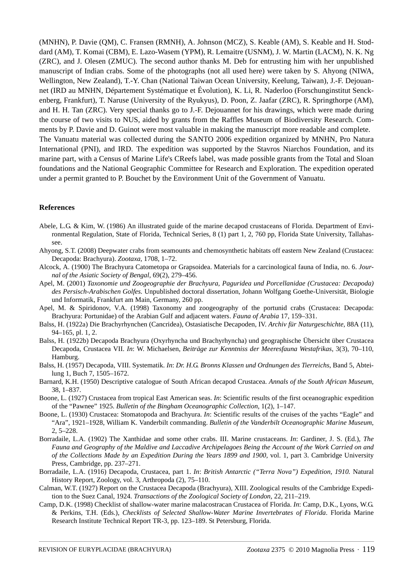(MNHN), P. Davie (QM), C. Fransen (RMNH), A. Johnson (MCZ), S. Keable (AM), S. Keable and H. Stoddard (AM), T. Komai (CBM), E. Lazo-Wasem (YPM), R. Lemaitre (USNM), J. W. Martin (LACM), N. K. Ng (ZRC), and J. Olesen (ZMUC). The second author thanks M. Deb for entrusting him with her unpublished manuscript of Indian crabs. Some of the photographs (not all used here) were taken by S. Ahyong (NIWA, Wellington, New Zealand), T.-Y. Chan (National Taiwan Ocean University, Keelung, Taiwan), J.-F. Dejouannet (IRD au MNHN, Département Systématique et Évolution), K. Li, R. Naderloo (Forschunginstitut Senckenberg, Frankfurt), T. Naruse (University of the Ryukyus), D. Poon, Z. Jaafar (ZRC), R. Springthorpe (AM), and H. H. Tan (ZRC). Very special thanks go to J.-F. Dejouannet for his drawings, which were made during the course of two visits to NUS, aided by grants from the Raffles Museum of Biodiversity Research. Comments by P. Davie and D. Guinot were most valuable in making the manuscript more readable and complete. The Vanuatu material was collected during the SANTO 2006 expedition organized by MNHN, Pro Natura International (PNI), and IRD. The expedition was supported by the Stavros Niarchos Foundation, and its marine part, with a Census of Marine Life's CReefs label, was made possible grants from the Total and Sloan foundations and the National Geographic Committee for Research and Exploration. The expedition operated under a permit granted to P. Bouchet by the Environment Unit of the Government of Vanuatu.

#### **References**

- Abele, L.G. & Kim, W. (1986) An illustrated guide of the marine decapod crustaceans of Florida. Department of Environmental Regulation, State of Florida, Technical Series, 8 (1) part 1, 2, 760 pp, Florida State University, Tallahassee.
- Ahyong, S.T. (2008) Deepwater crabs from seamounts and chemosynthetic habitats off eastern New Zealand (Crustacea: Decapoda: Brachyura). *Zootaxa*, 1708, 1–72.
- Alcock, A. (1900) The Brachyura Catometopa or Grapsoidea. Materials for a carcinological fauna of India, no. 6. *Journal of the Asiatic Society of Bengal*, 69(2), 279–456.
- Apel, M. (2001) *Taxonomie und Zoogeographie der Brachyura, Paguridea und Porcellanidae (Crustacea: Decapoda) des Persisch-Arabischen Golfes.* Unpublished doctoral dissertation, Johann Wolfgang Goethe-Universität, Biologie und Informatik, Frankfurt am Main, Germany, 260 pp.
- Apel, M. & Spiridonov, V.A. (1998) Taxonomy and zoogeography of the portunid crabs (Crustacea: Decapoda: Brachyura: Portunidae) of the Arabian Gulf and adjacent waters. *Fauna of Arabia* 17, 159–331.
- Balss, H. (1922a) Die Brachyrhynchen (Cancridea), Ostasiatische Decapoden, IV. *Archiv für Naturgeschichte*, 88A (11), 94–165, pl. 1, 2.
- Balss, H. (1922b) Decapoda Brachyura (Oxyrhyncha und Brachyrhyncha) und geographische Übersicht über Crustacea Decapoda, Crustacea VII. *In*: W. Michaelsen, *Beiträge zur Kenntniss der Meeresfauna Westafrikas*, 3(3), 70–110, Hamburg.
- Balss, H. (1957) Decapoda, VIII. Systematik. *In*: *Dr. H.G. Bronns Klassen und Ordnungen des Tierreichs*, Band 5, Abteilung 1, Buch 7, 1505–1672.
- Barnard, K.H. (1950) Descriptive catalogue of South African decapod Crustacea. *Annals of the South African Museum*, 38, 1–837.
- Boone, L. (1927) Crustacea from tropical East American seas. *In*: Scientific results of the first oceanographic expedition of the "Pawnee" 1925. *Bulletin of the Bingham Oceanographic Collection*, 1(2), 1–147.
- Boone, L. (1930) Crustacea: Stomatopoda and Brachyura. *In*: Scientific results of the cruises of the yachts "Eagle" and "Ara", 1921–1928, William K. Vanderbilt commanding. *Bulletin of the Vanderbilt Oceanographic Marine Museum*, 2, 5–228.
- Borradaile, L.A. (1902) The Xanthidae and some other crabs. III. Marine crustaceans. *In*: Gardiner, J. S. (Ed.), *The Fauna and Geography of the Maldive and Laccadive Archipelagoes Being the Account of the Work Carried on and of the Collections Made by an Expedition During the Years 1899 and 1900,* vol. 1, part 3. Cambridge University Press, Cambridge, pp. 237–271.
- Borradaile, L.A. (1916) Decapoda, Crustacea, part 1. *In*: *British Antarctic ("Terra Nova") Expedition, 1910.* Natural History Report, Zoology, vol. 3, Arthropoda (2), 75–110.
- Calman, W.T. (1927) Report on the Crustacea Decapoda (Brachyura), XIII. Zoological results of the Cambridge Expedition to the Suez Canal, 1924. *Transactions of the Zoological Society of London*, 22, 211–219.
- Camp, D.K. (1998) Checklist of shallow-water marine malacostracan Crustacea of Florida. *In*: Camp, D.K., Lyons, W.G. & Perkins, T.H. (Eds.), *Checklists of Selected Shallow-Water Marine Invertebrates of Florida*. Florida Marine Research Institute Technical Report TR-3, pp. 123–189. St Petersburg, Florida.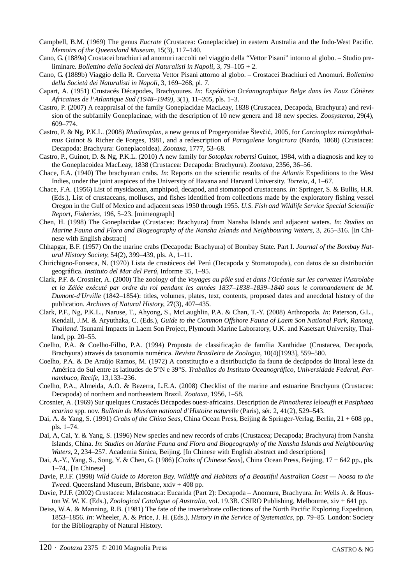- Campbell, B.M. (1969) The genus *Eucrate* (Crustacea: Goneplacidae) in eastern Australia and the Indo-West Pacific. *Memoirs of the Queensland Museum*, 15(3), 117–140.
- Cano, G. (1889a) Crostacei brachiuri ad anomuri raccolti nel viaggio della "Vettor Pisani" intorno al globo. Studio preliminare. *Bollettino della Società dei Naturalisti in Napoli*, 3, 79–105 + 2.
- Cano, G. **(**1889b) Viaggio della R. Corvetta Vettor Pisani attorno al globo. Crostacei Brachiuri ed Anomuri. *Bollettino della Società dei Naturalisti in Napoli*, 3, 169–268, pl. 7.
- Capart, A. (1951) Crustacés Décapodes, Brachyoures. *In*: *Expédition Océanographique Belge dans les Eaux Côtières Africaines de l'Atlantique Sud (1948*–*1949)*, 3(1), 11–205, pls. 1–3.
- Castro, P. (2007) A reappraisal of the family Goneplacidae MacLeay, 1838 (Crustacea, Decapoda, Brachyura) and revision of the subfamily Goneplacinae, with the description of 10 new genera and 18 new species. *Zoosystema*, 29(4), 609–774.
- Castro, P. & Ng, P.K.L. (2008) *Rhadinoplax*, a new genus of Progeryonidae Števčić, 2005, for *Carcinoplax microphthalmus* Guinot & Richer de Forges, 1981, and a redescription of *Paragalene longicrura* (Nardo, 1868) (Crustacea: Decapoda: Brachyura: Goneplacoidea). *Zootaxa,* 1777, 53–68.
- Castro, P., Guinot, D. & Ng, P.K.L. (2010) A new family for *Sotoplax robertsi* Guinot, 1984, with a diagnosis and key to the Goneplacoidea MacLeay, 1838 (Crustacea: Decapoda: Brachyura). *Zootaxa*, 2356, 36–56.
- Chace, F.A. (1940) The brachyuran crabs. *In*: Reports on the scientific results of the *Atlantis* Expeditions to the West Indies, under the joint auspices of the University of Havana and Harvard University. *Torreia*, 4, 1–67.
- Chace, F.A. (1956) List of mysidacean, amphipod, decapod, and stomatopod crustaceans. *In*: Springer, S. & Bullis, H.R. (Eds.), List of crustaceans, molluscs, and fishes identified from collections made by the exploratory fishing vessel Oregon in the Gulf of Mexico and adjacent seas 1950 through 1955. *U.S. Fish and Wildlife Service Special Scientific Report, Fisheries,* 196, 5–23. [mimeograph]
- Chen, H. (1998) The Goneplacidae (Crustacea: Brachyura) from Nansha Islands and adjacent waters. *In*: *Studies on Marine Fauna and Flora and Biogeography of the Nansha Islands and Neighbouring Waters,* 3, 265–316. [In Chinese with English abstract]
- Chhapgar, B.F. (1957) On the marine crabs (Decapoda: Brachyura) of Bombay State. Part I. *Journal of the Bombay Natural History Society*, 54(2), 399–439, pls. A, 1–11.
- Chirichigno-Fonseca, N. (1970) Lista de crustáceos del Perú (Decapoda y Stomatopoda), con datos de su distribución geográfica. *Instituto del Mar del Perú,* Informe 35, 1–95.
- Clark, P.F. & Crosnier, A. (2000) The zoology of the *Voyages au pôle sud et dans l'Océanie sur les corvettes l'Astrolabe et la Zélée exécuté par ordre du roi pendant les années 1837–1838–1839–1840 sous le commandement de M. Dumont-d'Urville* (1842–1854): titles, volumes, plates, text, contents, proposed dates and anecdotal history of the publication. *Archives of Natural History*, 2**7**(3), 407–435.
- Clark, P.F., Ng, P.K.L., Naruse, T., Ahyong, S., McLaughlin, P.A. & Chan, T.-Y. (2008) Arthropoda. *In*: Paterson, G.L., Kendall, J.M. & Aryuthaka, C. (Eds.), *Guide to the Common Offshore Fauna of Laem Son National Park, Ranong, Thailand*. Tsunami Impacts in Laem Son Project, Plymouth Marine Laboratory, U.K. and Kasetsart University, Thailand, pp. 20–55.
- Coelho, P.A. & Coelho-Filho, P.A. (1994) Proposta de classificação de família Xanthidae (Crustacea, Decapoda, Brachyura) através da taxonomia numérica. *Revista Brasileira de Zoologia*, 10(4)[1993], 559–580.
- Coelho, P.A. & De Araújo Ramos, M. (1972) A constitução e a distribucição da fauna de decápodos do litoral leste da América do Sul entre as latitudes de 5°N e 39°S. *Trabalhos do Instituto Oceanográfico, Universidade Federal, Pernambuco, Recife,* 13,133–236.
- Coelho, P.A., Almeida, A.O. & Bezerra, L.E.A. (2008) Checklist of the marine and estuarine Brachyura (Crustacea: Decapoda) of northern and northeastern Brazil. *Zootaxa,* 1956, 1–58.
- Crosnier, A. (1969) Sur quelques Crustacés Décapodes ouest-africains. Description de *Pinnotheres leloeuffi* et *Pasiphaea ecarina* spp. nov. *Bulletin du Muséum national d'Histoire naturelle* (Paris), sér. 2, 41(2), 529–543.
- Dai, A. & Yang, S. (1991) *Crabs of the China Seas*, China Ocean Press, Beijing & Springer-Verlag, Berlin, 21 + 608 pp., pls. 1–74.
- Dai, A, Cai, Y. & Yang, S. (1996) New species and new records of crabs (Crustacea; Decapoda; Brachyura) from Nansha Islands, China. *In*: *Studies on Marine Fauna and Flora and Biogeography of the Nansha Islands and Neighbouring Waters*, 2, 234–257. Academia Sinica, Beijing. [In Chinese with English abstract and descriptions]
- Dai, A.-Y., Yang, S., Song, Y. & Chen, G. (1986) [*Crabs of Chinese Seas*], China Ocean Press, Beijing, 17 + 642 pp., pls. 1–74,. [In Chinese]
- Davie, P.J.F. (1998) *Wild Guide to Moreton Bay. Wildlife and Habitats of a Beautiful Australian Coast Noosa to the Tweed.* Queensland Museum, Brisbane, xxiv + 408 pp.
- Davie, P.J.F. (2002) Crustacea: Malacostraca: Eucarida (Part 2): Decapoda Anomura, Brachyura. *In*: Wells A. & Houston W. W. K. (Eds.), *Zoological Catalogue of Australia*, vol. 19.3B. CSIRO Publishing, Melbourne, xiv + 641 pp.
- Deiss, W.A. & Manning, R.B. (1981) The fate of the invertebrate collections of the North Pacific Exploring Expedition, 1853–1856. *In*: Wheeler, A. & Price, J. H. (Eds.), *History in the Service of Systematics*, pp. 79–85. London: Society for the Bibliography of Natural History.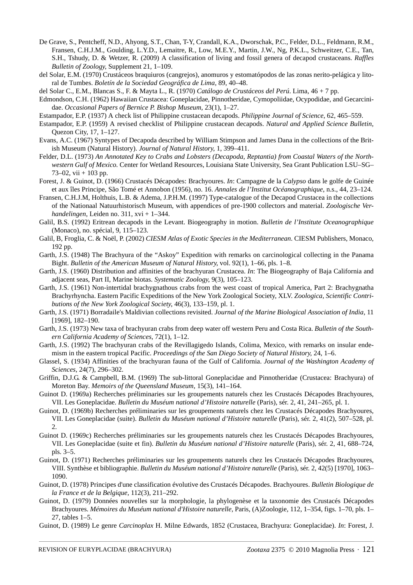- De Grave, S., Pentcheff, N.D., Ahyong, S.T., Chan, T-Y, Crandall, K.A., Dworschak, P.C., Felder, D.L., Feldmann, R.M., Fransen, C.H.J.M., Goulding, L.Y.D., Lemaitre, R., Low, M.E.Y., Martin, J.W., Ng, P.K.L., Schweitzer, C.E., Tan, S.H., Tshudy, D. & Wetzer, R. (2009) A classification of living and fossil genera of decapod crustaceans. *Raffles Bulletin of Zoology*, Supplement 21, 1–109.
- del Solar, E.M. (1970) Crustáceos braquiuros (cangrejos), anomuros y estomatópodos de las zonas nerito-pelágica y litoral de Tumbes. *Boletín de la Sociedad Geográfica de Lima*, 89, 40–48.
- del Solar C., E.M., Blancas S., F. & Mayta L., R. (1970) *Catálogo de Crustáceos del Perú*. Lima, 46 + 7 pp.
- Edmondson, C.H. (1962) Hawaiian Crustacea: Goneplacidae, Pinnotheridae, Cymopoliidae, Ocypodidae, and Gecarcinidae. *Occasional Papers of Bernice P. Bishop Museum*, 23(1), 1–27.
- Estampador, E.P. (1937) A check list of Philippine crustacean decapods. *Philippine Journal of Science*, 62, 465–559.
- Estampador, E.P. (1959) A revised checklist of Philippine crustacean decapods. *Natural and Applied Science Bulletin*, Quezon City, 17, 1–127.
- Evans, A.C. (1967) Syntypes of Decapoda described by William Stimpson and James Dana in the collections of the British Museum (Natural History). *Journal of Natural History*, 1, 399–411.
- Felder, D.L. (1973) *An Annotated Key to Crabs and Lobsters (Decapoda, Reptantia) from Coastal Waters of the Northwestern Gulf of Mexico.* Center for Wetland Resources, Louisiana State University, Sea Grant Publication LSU–SG– 73–02, vii + 103 pp.
- Forest, J. & Guinot, D. (1966) Crustacés Décapodes: Brachyoures. *In*: Campagne de la *Calypso* dans le golfe de Guinée et aux îles Principe, São Tomé et Annobon (1956), no. 16. *Annales de l'Institut Océanographique*, n.s., 44, 23–124.
- Fransen, C.H.J.M, Holthuis, L.B. & Adema, J.P.H.M. (1997) Type-catalogue of the Decapod Crustacea in the collections of the Nationaal Natuurhistorisch Museum, with appendices of pre-1900 collectors and material. *Zoologische Verhandelingen*, Leiden no. 311, xvi + 1–344.
- Galil, B.S. (1992) Eritrean decapods in the Levant. Biogeography in motion. *Bulletin de l'Institute Oceanographique* (Monaco), no. spécial, 9, 115–123.
- Galil, B, Froglia, C. & Noël, P. (2002) *CIESM Atlas of Exotic Species in the Mediterranean*. CIESM Publishers, Monaco, 192 pp.
- Garth, J.S. (1948) The Brachyura of the "Askoy" Expedition with remarks on carcinological collecting in the Panama Bight. *Bulletin of the American Museum of Natural History*, vol. 92(1), 1–66, pls. 1–8.
- Garth, J.S. (1960) Distribution and affinities of the brachyuran Crustacea. *In*: The Biogeography of Baja California and adjacent seas, Part II, Marine biotas. *Systematic Zoology*, 9(3), 105–123.
- Garth, J.S. (1961) Non-intertidal brachygnathous crabs from the west coast of tropical America, Part 2: Brachygnatha Brachyrhyncha. Eastern Pacific Expeditions of the New York Zoological Society, XLV. *Zoologica, Scientific Contributions of the New York Zoological Society*, 46(3), 133–159, pl. 1.
- Garth, J.S. (1971) Borradaile's Maldivian collections revisited. *Journal of the Marine Biological Association of India*, 11 [1969], 182–190.
- Garth, J.S. (1973) New taxa of brachyuran crabs from deep water off western Peru and Costa Rica. *Bulletin of the Southern California Academy of Sciences*, 72(1), 1–12.
- Garth, J.S. (1992) The brachyuran crabs of the Revillagigedo Islands, Colima, Mexico, with remarks on insular endemism in the eastern tropical Pacific. *Proceedings of the San Diego Society of Natural History*, 24, 1–6.
- Glassel, S. (1934) Affinities of the brachyuran fauna of the Gulf of California. *Journal of the Washington Academy of Sciences*, 24(7), 296–302.
- Griffin, D.J.G. & Campbell, B.M. (1969) The sub-littoral Goneplacidae and Pinnotheridae (Crustacea: Brachyura) of Moreton Bay. *Memoirs of the Queensland Museum*, 15(3), 141–164.
- Guinot D. (1969a) Recherches préliminaries sur les groupements naturels chez les Crustacés Décapodes Brachyoures, VII. Les Goneplacidae. *Bulletin du Muséum national d'Histoire naturelle* (Paris), sér. 2, 41, 241–265, pl. 1.
- Guinot, D. (1969b) Recherches préliminaries sur les groupements naturels chez les Crustacés Décapodes Brachyoures, VII. Les Goneplacidae (suite). *Bulletin du Muséum national d'Histoire naturelle* (Paris), sér. 2, 41(2), 507–528, pl. 2.
- Guinot D. (1969c) Recherches préliminaries sur les groupements naturels chez les Crustacés Décapodes Brachyoures, VII. Les Goneplacidae (suite et fin). *Bulletin du Muséum national d'Histoire naturelle* (Paris), sér. 2, 41, 688–724, pls. 3–5.
- Guinot, D. (1971) Recherches préliminaries sur les groupements naturels chez les Crustacés Décapodes Brachyoures, VIII. Synthèse et bibliographie. *Bulletin du Muséum national d'Histoire naturelle* (Paris), sér. 2, 42(5) [1970], 1063– 1090.
- Guinot, D. (1978) Principes d'une classification évolutive des Crustacés Décapodes. Brachyoures. *Bulletin Biologique de la France et de la Belgique*, 112(3), 211–292.
- Guinot, D. (1979) Données nouvelles sur la morphologie, la phylogenèse et la taxonomie des Crustacés Décapodes Brachyoures. *Mémoires du Muséum national d'Histoire naturelle*, Paris, (A)Zoologie, 112, 1–354, figs. 1–70, pls. 1– 27, tables 1–5.
- Guinot, D. (1989) Le genre *Carcinoplax* H. Milne Edwards, 1852 (Crustacea, Brachyura: Goneplacidae). *In*: Forest, J.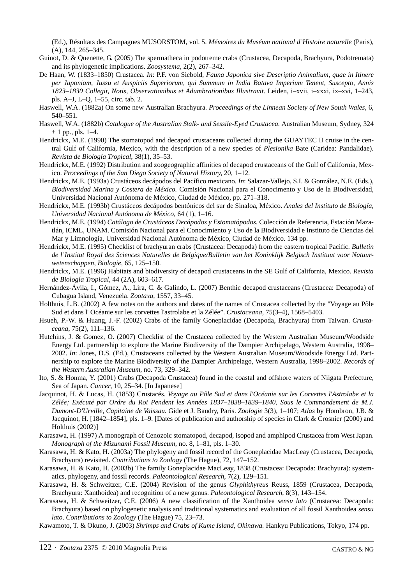(Ed.), Résultats des Campagnes MUSORSTOM, vol. 5. *Mémoires du Muséum national d'Histoire naturelle* (Paris), (A), 144, 265–345.

- Guinot, D. & Quenette, G. (2005) The spermatheca in podotreme crabs (Crustacea, Decapoda, Brachyura, Podotremata) and its phylogenetic implications. *Zoosystema*, 2(2), 267–342.
- De Haan, W. (1833–1850) Crustacea. *In*: P.F. von Siebold, *Fauna Japonica sive Descriptio Animalium, quae in Itinere per Japoniam, Jussu et Auspiciis Superiorum, qui Summum in India Batava Imperium Tenent, Suscepto, Annis 1823*–*1830 Collegit, Notis, Observationibus et Adumbrationibus Illustravit.* Leiden, i–xvii, i–xxxi, ix–xvi, 1–243, pls. A–J, L–Q, 1–55, circ. tab. 2.
- Haswell, W.A. (1882a) On some new Australian Brachyura. *Proceedings of the Linnean Society of New South Wales*, 6, 540–551.
- Haswell, W.A. (1882b) *Catalogue of the Australian Stalk- and Sessile-Eyed Crustacea.* Australian Museum, Sydney, 324 + 1 pp., pls. 1–4.
- Hendrickx, M.E. (1990) The stomatopod and decapod crustaceans collected during the GUAYTEC II cruise in the central Gulf of California, Mexico, with the description of a new species of *Plesionika* Bate (Caridea: Pandalidae). *Revista de Biología Tropical*, 38(1), 35–53.
- Hendrickx, M.E. (1992) Distribution and zoogeographic affinities of decapod crustaceans of the Gulf of California, Mexico. *Proceedings of the San Diego Society of Natural History*, 20, 1–12.
- Hendrickx, M.E. (1993a) Crustáceos decápodos del Pacífico mexicano. *In*: Salazar-Vallejo, S.I. & González, N.E. (Eds.), *Biodiversidad Marina y Costera de México.* Comisión Nacional para el Conocimento y Uso de la Biodiversidad, Universidad Nacional Autónoma de México, Ciudad de México, pp. 271–318.
- Hendrickx, M.E. (1993b) Crustáceos decápodos bentónicos del sur de Sinaloa, México. *Anales del Instituto de Biología, Universidad Nacional Autónoma de México*, 64 (1), 1–16.
- Hendrickx, M.E. (1994) *Catálogo de Crustáceos Decápodos y Estomatópodos*. Colección de Referencia, Estación Mazatlán, ICML, UNAM. Comisión Nacional para el Conocimiento y Uso de la Biodiversidad e Instituto de Ciencias del Mar y Limnología, Universidad Nacional Autónoma de México, Ciudad de México. 134 pp.
- Hendrickx, M.E. (1995) Checklist of brachyuran crabs (Crustacea: Decapoda) from the eastern tropical Pacific. *Bulletin de l'Institut Royal des Sciences Naturelles de Belgique/Bulletin van het Koninklijk Belgisch Instituut voor Natuurwetenschappen*, *Biologie,* 65, 125–150.
- Hendrickx, M.E. (1996) Habitats and biodiversity of decapod crustaceans in the SE Gulf of California, Mexico. *Revista de Biología Tropical*, 44 (2A), 603–617.
- Hernández-Ávila, I., Gómez, A., Lira, C. & Galindo, L. (2007) Benthic decapod crustaceans (Crustacea: Decapoda) of Cubagua Island, Venezuela. *Zootaxa,* 1557, 33–45.
- Holthuis, L.B. (2002) A few notes on the authors and dates of the names of Crustacea collected by the "Voyage au Pôle Sud et dans l' Océanie sur les corvettes l'astrolabe et la Zélée". *Crustaceana*, 75(3–4), 1568–5403.
- Hsueh, P.-W. & Huang, J.-F. (2002) Crabs of the family Goneplacidae (Decapoda, Brachyura) from Taiwan. *Crustaceana*, 75(2), 111–136.
- Hutchins, J. & Gomez, O. (2007) Checklist of the Crustacea collected by the Western Australian Museum/Woodside Energy Ltd. partnership to explore the Marine Biodiversity of the Dampier Archipelago, Western Australia, 1998– 2002. *In*: Jones, D.S. (Ed.), Crustaceans collected by the Western Australian Museum/Woodside Energy Ltd. Partnership to explore the Marine Biodiversity of the Dampier Archipelago, Western Australia, 1998–2002. *Records of the Western Australian Museum*, no. 73, 329–342.
- Ito, S. & Honma, Y. (2001) Crabs (Decapoda Crustacea) found in the coastal and offshore waters of Niigata Prefecture, Sea of Japan. *Cancer*, 10, 25–34. [In Japanese]
- Jacquinot, H. & Lucas, H. (1853) Crustacés. *Voyage au Pôle Sud et dans l'Océanie sur les Corvettes l'Astrolabe et la Zélée; Exécuté par Ordre du Roi Pendent les Années 1837–1838–1839–1840, Sous le Commandement de M.J. Dumont-D'Urville, Capitaine de Vaissau.* Gide et J. Baudry, Paris. *Zoologie* 3(3), 1–107; *Atlas* by Hombron, J.B. & Jacquinot, H. [1842–1854], pls. 1–9. [Dates of publication and authorship of species in Clark & Crosnier (2000) and Holthuis (2002)]
- Karasawa, H. (1997) A monograph of Cenozoic stomatopod, decapod, isopod and amphipod Crustacea from West Japan. *Monograph of the Mizunami Fossil Museum*, no. 8, 1–81, pls. 1–30.
- Karasawa, H. & Kato, H. (2003a) The phylogeny and fossil record of the Goneplacidae MacLeay (Crustacea, Decapoda, Brachyura) revisited. *Contributions to Zoology* (The Hague), 72, 147–152.
- Karasawa, H. & Kato, H. (2003b) The family Goneplacidae MacLeay, 1838 (Crustacea: Decapoda: Brachyura): systematics, phylogeny, and fossil records. *Paleontological Research*, 7(2), 129–151.
- Karasawa, H. & Schweitzer, C.E. (2004) Revision of the genus *Glyphithyreus* Reuss, 1859 (Crustacea, Decapoda, Brachyura: Xanthoidea) and recognition of a new genus. *Paleontological Research*, 8(3), 143–154.
- Karasawa, H. & Schweitzer, C.E. (2006) A new classification of the Xanthoidea *sensu lato* (Crustacea: Decapoda: Brachyura) based on phylogenetic analysis and traditional systematics and evaluation of all fossil Xanthoidea *sensu lato*. *Contributions to Zoology* (The Hague) 75, 23–73.

Kawamoto, T. & Okuno, J. (2003) *Shrimps and Crabs of Kume Island, Okinawa.* Hankyu Publications, Tokyo, 174 pp.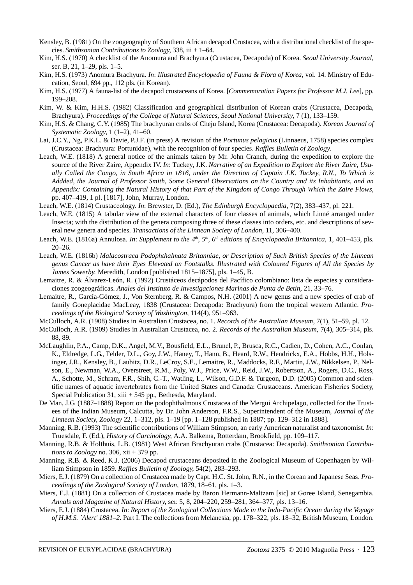- Kensley, B. (1981) On the zoogeography of Southern African decapod Crustacea, with a distributional checklist of the species. *Smithsonian Contributions to Zoology*, 338, iii + 1–64.
- Kim, H.S. (1970) A checklist of the Anomura and Brachyura (Crustacea, Decapoda) of Korea. *Seoul University Journal*, ser. B, 21, 1–29, pls. 1–5.
- Kim, H.S. (1973) Anomura Brachyura. *In*: *Illustrated Encyclopedia of Fauna & Flora of Korea*, vol. 14. Ministry of Education, Seoul, 694 pp., 112 pls. (in Korean).
- Kim, H.S. (1977) A fauna-list of the decapod crustaceans of Korea. [*Commemoration Papers for Professor M.J. Lee*], pp. 199–208.
- Kim, W. & Kim, H.H.S. (1982) Classification and geographical distribution of Korean crabs (Crustacea, Decapoda, Brachyura). *Proceedings of the College of Natural Sciences, Seoul National University*, 7 (1), 133–159.
- Kim, H.S. & Chang, C.Y. (1985) The brachyuran crabs of Cheju Island, Korea (Crustacea: Decapoda). *Korean Journal of Systematic Zoology,* 1 (1–2), 41–60.
- Lai, J.C.Y., Ng, P.K.L. & Davie, P.J.F. (in press) A revision of the *Portunus pelagicus* (Linnaeus, 1758) species complex (Crustacea: Brachyura: Portunidae), with the recognition of four species. *Raffles Bulletin of Zoology*.
- Leach, W.E. (1818) A general notice of the animals taken by Mr. John Cranch, during the expedition to explore the source of the River Zaire, Appendix IV. *In*: Tuckey, J.K. *Narrative of an Expedition to Explore the River Zaire, Usually Called the Congo, in South Africa in 1816, under the Direction of Captain J.K. Tuckey, R.N., To Which is Addded, the Journal of Professor Smith, Some General Observations on the Country and its Inhabitants, and an Appendix: Containing the Natural History of that Part of the Kingdom of Congo Through Which the Zaire Flows*, pp. 407–419, 1 pl. [1817], John, Murray, London.
- Leach, W.E. (1814) Crustaceology. *In*: Brewster, D. (Ed.), *The Edinburgh Encyclopaedia*, 7(2), 383–437, pl. 221.
- Leach, W.E. (1815) A tabular view of the external characters of four classes of animals, which Linné arranged under Insecta; with the distribution of the genera composing three of these classes into orders, etc. and descriptions of several new genera and species. *Transactions of the Linnean Society of London*, 11, 306–400.
- Leach, W.E. (1816a) Annulosa. *In: Supplement to the 4<sup>th</sup>*, 5<sup>th</sup>, 6<sup>th</sup> editions of Encyclopaedia Britannica, 1, 401–453, pls. 20–26.
- Leach, W.E. (1816b) *Malacostraca Podophthalmata Britanniae, or Description of Such British Species of the Linnean genus Cancer as have their Eyes Elevated on Footstalks. Illustrated with Coloured Figures of All the Species by James Sowerby.* Meredith, London [published 1815–1875], pls. 1–45, B.
- Lemaitre, R. & Álvarez-León, R. (1992) Crustáceos decápodos del Pacífico colombiano: lista de especies y consideraciones zoogeográficas. *Anales del Instituto de Investigaciones Marinas de Punta de Betín*, 21, 33–76.
- Lemaitre, R., García-Gómez, J., Von Sternberg, R. & Campos, N.H. (2001) A new genus and a new species of crab of family Goneplacidae MacLeay, 1838 (Crustacea: Decapoda: Brachyura) from the tropical western Atlantic. *Proceedings of the Biological Society of Washington*, 114(4), 951–963.
- McCulloch, A.R. (1908) Studies in Australian Crustacea, no. 1. *Records of the Australian Museum*, 7(1), 51–59, pl. 12.
- McCulloch, A.R. (1909) Studies in Australian Crustacea, no. 2. *Records of the Australian Museum*, 7(4), 305–314, pls. 88, 89.
- McLaughlin, P.A., Camp, D.K., Angel, M.V., Bousfield, E.L., Brunel, P., Brusca, R.C., Cadien, D., Cohen, A.C., Conlan, K., Eldredge, L.G., Felder, D.L., Goy, J.W., Haney, T., Hann, B., Heard, R.W., Hendrickx, E.A., Hobbs, H.H., Holsinger, J.R., Kensley, B., Laubitz, D.R., LeCroy, S.E., Lemaitre, R., Maddocks, R.F., Martin, J.W., Nikkelsen, P., Nelson, E., Newman, W.A., Overstreet, R.M., Poly, W.J., Price, W.W., Reid, J.W., Robertson, A., Rogers, D.C., Ross, A., Schotte, M., Schram, F.R., Shih, C.-T., Watling, L., Wilson, G.D.F. & Turgeon, D.D. (2005) Common and scientific names of aquatic invertebrates from the United States and Canada: Crustaceans. American Fisheries Society, Special Publication 31, xiii + 545 pp., Bethesda, Maryland.
- De Man, J.G. (1887–1888) Report on the podophthalmous Crustacea of the Mergui Archipelago, collected for the Trustees of the Indian Museum, Calcutta, by Dr. John Anderson, F.R.S., Superintendent of the Museum, *Journal of the Linnean Society, Zoology* 22, 1–312, pls. 1–19 [pp. 1–128 published in 1887; pp. 129–312 in 1888].
- Manning, R.B. (1993) The scientific contributions of William Stimpson, an early American naturalist and taxonomist. *In*: Truesdale, F. (Ed.), *History of Carcinology*, A.A. Balkema, Rotterdam, Brookfield, pp. 109–117.
- Manning, R.B. & Holthuis, L.B. (1981) West African Brachyuran crabs (Crustacea: Decapoda). *Smithsonian Contributions to Zoology* no. 306, xii + 379 pp.
- Manning, R.B. & Reed, K.J. (2006) Decapod crustaceans deposited in the Zoological Museum of Copenhagen by William Stimpson in 1859. *Raffles Bulletin of Zoology*, 54(2), 283–293.
- Miers, E.J. (1879) On a collection of Crustacea made by Capt. H.C. St. John, R.N., in the Corean and Japanese Seas. *Proceedings of the Zoological Society of London*, 1879, 18–61, pls. 1–3.
- Miers, E.J. (1881) On a collection of Crustacea made by Baron Hermann-Maltzam [sic] at Goree Island, Senegambia. *Annals and Magazine of Natural History*, ser. 5, 8, 204–220, 259–281, 364–377, pls. 13–16.
- Miers, E.J. (1884) Crustacea. *In*: *Report of the Zoological Collections Made in the Indo-Pacific Ocean during the Voyage of H.M.S. `Alert' 1881–2.* Part I. The collections from Melanesia, pp. 178–322, pls. 18–32, British Museum, London.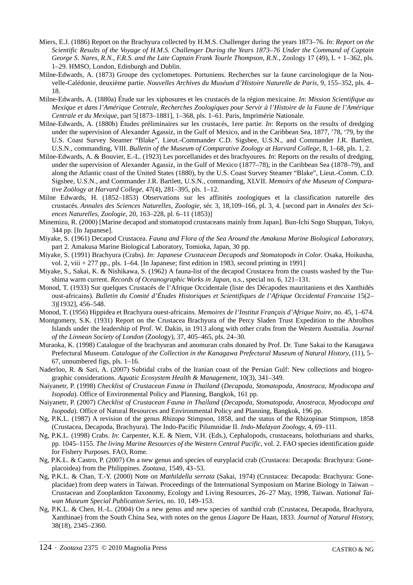- Miers, E.J. (1886) Report on the Brachyura collected by H.M.S. Challenger during the years 1873–76. *In*: *Report on the Scientific Results of the Voyage of H.M.S. Challenger During the Years 1873–76 Under the Command of Captain George S. Nares, R.N., F.R.S. and the Late Captain Frank Tourle Thompson, R.N.*, Zoology 17 (49), L + 1–362, pls. 1–29. HMSO, London, Edinburgh and Dublin.
- Milne-Edwards, A. (1873) Groupe des cyclometopes. Portuniens. Recherches sur la faune carcinologique de la Nouvelle-Calédonie, deuxième partie. *Nouvelles Archives du Muséum d'Histoire Naturelle de Paris*, 9, 155–352, pls. 4– 18.
- Milne-Edwards, A. (1880a) Étude sur les xiphosures et les crustacés de la région mexicaine. *In*: *Mission Scientifique au Mexique et dans l'Amérique Centrale, Recherches Zoologiques pour Servir à l'Histoire de la Faune de l'Amérique Centrale et du Mexique*, part 5[1873–1881], 1–368, pls. 1–61. Paris, Imprimérie Nationale.
- Milne-Edwards, A. (1880b) Études préliminaires sur les crustacés, 1ere partie. *In*: Reports on the results of dredging under the supervision of Alexander Agassiz, in the Gulf of Mexico, and in the Caribbean Sea, 1877, '78, '79, by the U.S. Coast Survey Steamer "Blake", Lieut.-Commander C.D. Sigsbee, U.S.N., and Commander J.R. Bartlett, U.S.N., commanding, VIII. *Bulletin of the Museum of Comparative Zoology at Harvard College*, 8, 1–68, pls. 1, 2.
- Milne-Edwards, A. & Bouvier, E.-L. (1923) Les porcellanides et des brachyoures. *In*: Reports on the results of dredging, under the supervision of Alexander Agassiz, in the Gulf of Mexico (1877–78), in the Caribbean Sea (1878–79), and along the Atlantic coast of the United States (1880), by the U.S. Coast Survey Steamer "Blake", Lieut.-Comm. C.D. Sigsbee, U.S.N., and Commander J.R. Bartlett, U.S.N., commanding, XLVII. *Memoirs of the Museum of Comparative Zoölogy at Harvard College*, 47(4), 281–395, pls. 1–12.
- Milne Edwards, H. (1852–1853) Observations sur les affinités zoologiques et la classification naturelle des crustacés. *Annales des Sciences Naturelles, Zoologie*, sér. 3, 18,109–166, pl. 3, 4. [second part in *Annales des Sciences Naturelles, Zoologie*, 20, 163–228, pl. 6–11 (1853)]
- Minemizu, R. (2000) [Marine decapod and stomatopod crustaceans mainly from Japan]. Bun-Ichi Sogo Shuppan, Tokyo, 344 pp. [In Japanese].
- Miyake, S. (1961) Decapod Crustacea. *Fauna and Flora of the Sea Around the Amakusa Marine Biological Laboratory*, part 2. Amakusa Marine Biological Laboratory, Tomioka, Japan, 30 pp.
- Miyake, S. (1991) Brachyura (Crabs). *In*: *Japanese Crustacean Decapods and Stomatopods in Color*. Osaka, Hoikusha, vol. 2, viii + 277 pp., pls. 1–64. [In Japanese; first edition in 1983, second printing in 1991]
- Miyake, S., Sakai, K. & Nishikawa, S. (1962) A fauna-list of the decapod Crustacea from the coasts washed by the Tsushima warm current. *Records of Oceanographic Works in Japan*, n.s., special no. 6, 121–131.
- Monod, T. (1933) Sur quelques Crustacés de l'Afrique Occidentale (liste des Décapodes mauritaniens et des Xanthidés oust-africains). *Bulletin du Comité d'Études Historiques et Scientifiques de l'Afrique Occidental Francaise* 15(2– 3)[1932], 456–548.
- Monod, T. (1956) Hippidea et Brachyura ouest-africains. *Memoires de l'Institut Français d'Afrique Noire*, no. 45, 1–674.
- Montgomery, S.K. (1931) Report on the Crustacea Brachyura of the Percy Sladen Trust Expedition to the Abrolhos Islands under the leadership of Prof. W. Dakin, in 1913 along with other crabs from the Western Australia. *Journal of the Linnean Society of London* (Zoology), 37, 405–465, pls. 24–30.
- Muraoka, K. (1998) Catalogue of the brachyuran and anomuran crabs donated by Prof. Dr. Tune Sakai to the Kanagawa Prefectural Museum. *Catalogue of the Collection in the Kanagawa Prefectural Museum of Natural History*, (11), 5– 67, unnumbered figs, pls. 1–16.
- Naderloo, R. & Sari, A. (2007) Subtidal crabs of the Iranian coast of the Persian Gulf: New collections and biogeographic considerations. *Aquatic Ecosystem Health & Management*, 10(3), 341–349.
- Naiyanetr, P. (1998) *Checklist of Crustacean Fauna in Thailand* (*Decapoda, Stomatopoda, Anostraca, Myodocopa and Isopoda*). Office of Environmental Policy and Planning, Bangkok, 161 pp.
- Naiyanetr, P. (2007) *Checklist of Crustacean Fauna in Thailand* (*Decapoda, Stomatopoda, Anostraca, Myodocopa and Isopoda*). Office of Natural Resources and Environmental Policy and Planning, Bangkok, 196 pp.
- Ng, P.K.L. (1987) A revision of the genus *Rhizopa* Stimpson, 1858, and the status of the Rhizopinae Stimpson, 1858 (Crustacea, Decapoda, Brachyura). The Indo-Pacific Pilumnidae II. *Indo-Malayan Zoology*, 4, 69–111.
- Ng, P.K.L. (1998) Crabs. *In*: Carpenter, K.E. & Niem, V.H. (Eds.), Cephalopods, crustaceans, holothurians and sharks, pp. 1045–1155. *The living Marine Resources of the Western Central Pacific,* vol. 2. FAO species identification guide for Fishery Purposes. FAO, Rome.
- Ng, P.K.L. & Castro, P. (2007) On a new genus and species of euryplacid crab (Crustacea: Decapoda: Brachyura: Goneplacoidea) from the Philippines. *Zootaxa,* 1549, 43–53.
- Ng, P.K.L. & Chan, T.-Y. (2000) Note on *Mathildella serrata* (Sakai, 1974) (Crustacea: Decapoda: Brachyura: Goneplacidae) from deep waters in Taiwan. Proceedings of the International Symposium on Marine Biology in Taiwan – Crustacean and Zooplankton Taxonomy, Ecology and Living Resources, 26–27 May, 1998, Taiwan. *National Taiwan Museum Special Publication Series*, no. 10, 149–153.
- Ng, P.K.L. & Chen, H.-L. (2004) On a new genus and new species of xanthid crab (Crustacea, Decapoda, Brachyura, Xanthinae) from the South China Sea, with notes on the genus *Liagore* De Haan, 1833. *Journal of Natural History*, 38(18), 2345–2360.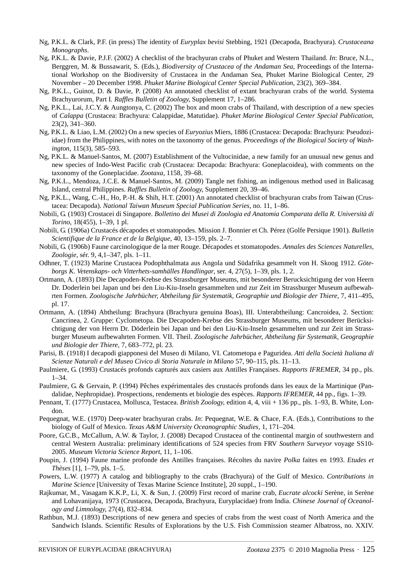- Ng, P.K.L. & Clark, P.F. (in press) The identity of *Euryplax bevisi* Stebbing, 1921 (Decapoda, Brachyura). *Crustaceana Monographs*.
- Ng, P.K.L. & Davie, P.J.F. (2002) A checklist of the brachyuran crabs of Phuket and Western Thailand. *In*: Bruce, N.L., Berggren, M. & Bussawarit, S. (Eds.), *Biodiversity of Crustacea of the Andaman Sea*, Proceedings of the International Workshop on the Biodiversity of Crustacea in the Andaman Sea, Phuket Marine Biological Center, 29 November – 20 December 1998. *Phuket Marine Biological Center Special Publication*, 23(2), 369–384.
- Ng, P.K.L., Guinot, D. & Davie, P. (2008) An annotated checklist of extant brachyuran crabs of the world. Systema Brachyurorum, Part I. *Raffles Bulletin of Zoology*, Supplement 17, 1–286.
- Ng, P.K.L., Lai, J.C.Y. & Aungtonya, C. (2002) The box and moon crabs of Thailand, with description of a new species of *Calappa* (Crustacea: Brachyura: Calappidae, Matutidae). *Phuket Marine Biological Center Special Publication*, 23(2), 341–360.
- Ng, P.K.L. & Liao, L.M. (2002) On a new species of *Euryozius* Miers, 1886 (Crustacea: Decapoda: Brachyura: Pseudoziidae) from the Philippines, with notes on the taxonomy of the genus. *Proceedings of the Biological Society of Washington*, 115(3), 585–593.
- Ng, P.K.L. & Manuel-Santos, M. (2007) Establishment of the Vultocinidae, a new family for an unusual new genus and new species of Indo-West Pacific crab (Crustacea: Decapoda: Brachyura: Goneplacoidea), with comments on the taxonomy of the Goneplacidae. *Zootaxa,* 1158, 39–68.
- Ng, P.K.L., Mendoza, J.C.E. & Manuel-Santos, M. (2009) Tangle net fishing, an indigenous method used in Balicasag Island, central Philippines. *Raffles Bulletin of Zoology*, Supplement 20, 39–46.
- Ng, P.K.L., Wang, C.-H., Ho, P.-H. & Shih, H.T. (2001) An annotated checklist of brachyuran crabs from Taiwan (Crustacea: Decapoda). *National Taiwan Museum Special Publication Series*, no. 11, 1–86.
- Nobili, G. (1903) Crostacei di Singapore. *Bolletino dei Musei di Zoologia ed Anatomia Comparata della R. Università di Torino*, 18(455), 1–39, 1 pl.
- Nobili, G. (1906a) Crustacés décapodes et stomatopodes. Mission J. Bonnier et Ch. Pérez (Golfe Persique 1901). *Bulletin Scientifique de la France et de la Belgique*, 40, 13–159, pls. 2–7.
- Nobili, G. (1906b) Faune carcinologique de la mer Rouge. Décapodes et stomatopodes. *Annales des Sciences Naturelles, Zoologie*, sér. 9, 4,1–347, pls. 1–11.
- Odhner, T. (1923) Marine Crustacea Podophthalmata aus Angola und Südafrika gesammelt von H. Skoog 1912. *Göteborgs K. Vetenskaps- och Vitterhets-samhälles Handlingar*, ser. 4, 27(5), 1–39, pls. 1, 2.
- Ortmann, A. (1893) Die Decapoden-Krebse des Strassburger Museums, mit besonderer Berucksichtigung der von Heern Dr. Doderlein bei Japan und bei den Liu-Kiu-Inseln gesammelten und zur Zeit im Strassburger Museum aufbewahrten Formen. *Zoologische Jahrbücher, Abtheilung für Systematik, Geographie und Biologie der Thiere,* 7, 411–495, pl. 17.
- Ortmann, A. (1894) Abtheilung: Brachyura (Brachyura genuina Boas), III. Unterabtheilung: Cancroidea, 2. Section: Cancrinea, 2. Gruppe: Cyclometopa. Die Decapoden-Krebse des Strassburger Museums, mit besonderer Berücksichtigung der von Herrn Dr. Döderlein bei Japan und bei den Liu-Kiu-Inseln gesammelten und zur Zeit im Strassburger Museum aufbewahrten Formen. VII. Theil. *Zoologische Jahrbücher, Abtheilung für Systematik, Geographie und Biologie der Thiere,* 7, 683–772, pl. 23.
- Parisi, B. (1918) I decapodi giapponesi del Museo di Milano, VI. Catometopa e Paguridea. *Atti della Società Italiana di Scienze Naturali e del Museo Civico di Storia Naturale in Milano* 57, 90–115, pls. 11–13.
- Paulmiere, G. (1993) Crustacés profonds capturés aux casiers aux Antilles Françaises. *Rapports IFREMER*, 34 pp., pls. 1–34.
- Paulmiere, G. & Gervain, P. (1994) Pêches expérimentales des crustacés profonds dans les eaux de la Martinique (Pandalidae, Nephropidae). Prospections, rendements et biologie des espèces. *Rapports IFREMER*, 44 pp., figs. 1–39.
- Pennant, T. (1777) Crustacea, Mollusca, Testacea. *British Zoology*, edition 4, 4, viii + 136 pp., pls. 1–93, B. White, London.
- Pequegnat, W.E. (1970) Deep-water brachyuran crabs. *In*: Pequegnat, W.E. & Chace, F.A. (Eds.), Contributions to the biology of Gulf of Mexico. *Texas A&M University Oceanographic Studies*, 1, 171–204.
- Poore, G.C.B., McCallum, A.W. & Taylor, J. (2008) Decapod Crustacea of the continental margin of southwestern and central Western Australia: preliminary identifications of 524 species from FRV *Southern Surveyor* voyage SS10- 2005. *Museum Victoria Science Report*, 11, 1–106.
- Poupin, J. (1994) Faune marine profonde des Antilles françaises. Récoltes du navire *Polka* faites en 1993. *Etudes et Thèses* [1], 1–79, pls. 1–5.
- Powers, L.W. (1977) A catalog and bibliography to the crabs (Brachyura) of the Gulf of Mexico. *Contributions in Marine Science* [University of Texas Marine Science Institute], 20 suppl., 1–190.
- Rajkumar, M., Vasagam K.K.P., Li, X. & Sun, J. (2009) First record of marine crab, *Eucrate alcocki* Serène, in Serène and Lohavanijaya, 1973 (Crustacea, Decapoda, Brachyura, Euryplacidae) from India. *Chinese Journal of Oceanology and Limnology*, 27(4), 832–834.
- Rathbun, M.J. (1893) Descriptions of new genera and species of crabs from the west coast of North America and the Sandwich Islands. Scientific Results of Explorations by the U.S. Fish Commission steamer Albatross, no. XXIV.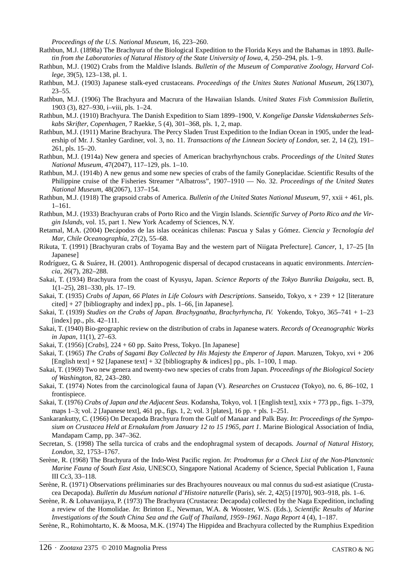*Proceedings of the U.S. National Museum*, 16, 223–260.

- Rathbun, M.J. (1898a) The Brachyura of the Biological Expedition to the Florida Keys and the Bahamas in 1893. *Bulletin from the Laboratories of Natural History of the State University of Iowa*, 4, 250–294, pls. 1–9.
- Rathbun, M.J. (1902) Crabs from the Maldive Islands. *Bulletin of the Museum of Comparative Zoology, Harvard College*, 39(5), 123–138, pl. 1.
- Rathbun, M.J. (1903) Japanese stalk-eyed crustaceans. *Proceedings of the Unites States National Museum*, 26(1307), 23–55.
- Rathbun, M.J. (1906) The Brachyura and Macrura of the Hawaiian Islands. *United States Fish Commission Bulletin*, 1903 (3), 827–930, i–viii, pls. 1–24.
- Rathbun, M.J. (1910) Brachyura. The Danish Expedition to Siam 1899–1900, V. *Kongelige Danske Videnskabernes Selskabs Skrifter*, *Copenhagen*, 7 Raekke, 5 (4), 301–368, pls. 1, 2, map.
- Rathbun, M.J. (1911) Marine Brachyura. The Percy Sladen Trust Expedition to the Indian Ocean in 1905, under the leadership of Mr. J. Stanley Gardiner, vol. 3, no. 11. *Transactions of the Linnean Society of London*, ser. 2, 14 (2), 191– 261, pls. 15–20.
- Rathbun, M.J. (1914a) New genera and species of American brachyrhynchous crabs. *Proceedings of the United States National Museum*, 47(2047), 117–129, pls. 1–10.
- Rathbun, M.J. (1914b) A new genus and some new species of crabs of the family Goneplacidae. Scientific Results of the Philippine cruise of the Fisheries Streamer "Albatross", 1907–1910 — No. 32. *Proceedings of the United States National Museum*, 48(2067), 137–154.
- Rathbun, M.J. (1918) The grapsoid crabs of America. *Bulletin of the United States National Museum*, 97, xxii + 461, pls. 1–161.
- Rathbun, M.J. (1933) Brachyuran crabs of Porto Rico and the Virgin Islands. *Scientific Survey of Porto Rico and the Virgin Islands*, vol. 15, part 1. New York Academy of Sciences, N.Y.
- Retamal, M.A. (2004) Decápodos de las islas oceánicas chilenas: Pascua y Salas y Gómez. *Ciencia y Tecnología del Mar*, *Chile Oceanographía*, 27(2), 55–68.
- Rikuta, T. (1991) [Brachyuran crabs of Toyama Bay and the western part of Niigata Prefecture]. *Cancer*, 1, 17–25 [In Japanese]
- Rodríguez, G. & Suárez, H. (2001). Anthropogenic dispersal of decapod crustaceans in aquatic environments. *Interciencia*, 26(7), 282–288.
- Sakai, T. (1934) Brachyura from the coast of Kyusyu, Japan. *Science Reports of the Tokyo Bunrika Daigaku*, sect. B, 1(1–25), 281–330, pls. 17–19.
- Sakai, T. (1935) *Crabs of Japan, 66 Plates in Life Colours with Descriptions*. Sanseido, Tokyo, x + 239 + 12 [literature  $cited$  + 27 [bibliography and index] pp., pls. 1–66, [in Japanese].
- Sakai, T. (1939) *Studies on the Crabs of Japan. Brachygnatha, Brachyrhyncha, IV*. Yokendo, Tokyo, 365–741 + 1–23 [index] pp., pls. 42–111.
- Sakai, T. (1940) Bio-geographic review on the distribution of crabs in Japanese waters. *Records of Oceanographic Works in Japan*, 11(1), 27–63.
- Sakai, T. (1956) [*Crabs*]*,* 224 + 60 pp. Saito Press, Tokyo. [In Japanese]
- Sakai, T. (1965) *The Crabs of Sagami Bay Collected by His Majesty the Emperor of Japan*. Maruzen, Tokyo, xvi + 206 [English text] + 92 [Japanese text] + 32 [bibliography  $\&$  indices] pp., pls. 1–100, 1 map.
- Sakai, T. (1969) Two new genera and twenty-two new species of crabs from Japan. *Proceedings of the Biological Society of Washington*, 82, 243–280.
- Sakai, T. (1974) Notes from the carcinological fauna of Japan (V). *Researches on Crustacea* (Tokyo), no. 6, 86–102, 1 frontispiece.
- Sakai, T. (1976) *Crabs of Japan and the Adjacent Seas*. Kodansha, Tokyo, vol. 1 [English text], xxix + 773 pp., figs. 1–379, maps 1–3; vol. 2 [Japanese text], 461 pp., figs. 1, 2; vol. 3 [plates], 16 pp. + pls. 1–251.
- Sankarankutty, C. (1966) On Decapoda Brachyura from the Gulf of Manaar and Palk Bay. *In*: *Proceedings of the Symposium on Crustacea Held at Ernakulam from January 12 to 15 1965, part 1*. Marine Biological Association of India, Mandapam Camp, pp. 347–362.
- Secretan, S. (1998) The sella turcica of crabs and the endophragmal system of decapods. *Journal of Natural History*, *London*, 32, 1753–1767.
- Serène, R. (1968) The Brachyura of the Indo-West Pacific region. *In*: *Prodromus for a Check List of the Non-Planctonic Marine Fauna of South East Asia*, UNESCO, Singapore National Academy of Science, Special Publication 1, Fauna III Cc3, 33–118.
- Serène, R. (1971) Observations préliminaries sur des Brachyoures nouveaux ou mal connus du sud-est asiatique (Crustacea Decapoda). *Bulletin du Muséum national d'Histoire naturelle* (Paris), sér. 2, 42(5) [1970], 903–918, pls. 1–6.
- Serène, R. & Lohavanijaya, P. (1973) The Brachyura (Crustacea: Decapoda) collected by the Naga Expedition, including a review of the Homolidae. *In*: Brinton E., Newman, W.A. & Wooster, W.S. (Eds.), *Scientific Results of Marine Investigations of the South China Sea and the Gulf of Thailand, 1959–1961*. *Naga Report* 4 (4), 1–187.
- Serène, R., Rohimohtarto, K. & Moosa, M.K. (1974) The Hippidea and Brachyura collected by the Rumphius Expedition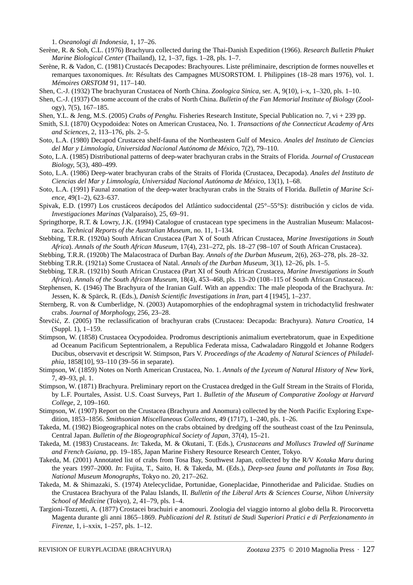1. *Oseanologi di Indonesia*, 1, 17–26.

- Serène, R. & Soh, C.L. (1976) Brachyura collected during the Thai-Danish Expedition (1966). *Research Bulletin Phuket Marine Biological Center* (Thailand), 12, 1–37, figs. 1–28, pls. 1–7.
- Serène, R. & Vadon, C. (1981) Crustacés Decapodes: Brachyoures. Liste préliminaire, description de formes nouvelles et remarques taxonomiques. *In*: Résultats des Campagnes MUSORSTOM. I. Philippines (18–28 mars 1976), vol. 1. *Mémoires ORSTOM* 91, 117–140.
- Shen, C.-J. (1932) The brachyuran Crustacea of North China. *Zoologica Sinica,* ser. A, 9(10), i–x, 1–320, pls. 1–10.
- Shen, C.-J. (1937) On some account of the crabs of North China. *Bulletin of the Fan Memorial Institute of Biology* (Zoology), 7(5), 167–185.
- Shen, Y.L. & Jeng, M.S. (2005) *Crabs of Penghu.* Fisheries Research Institute, Special Publication no. 7, vi + 239 pp.
- Smith, S.I. (1870) Ocypodoidea: Notes on American Crustacea, No. 1. *Transactions of the Connecticut Academy of Arts and Sciences*, 2, 113–176, pls. 2–5.
- Soto, L.A. (1980) Decapod Crustacea shelf-fauna of the Northeastern Gulf of Mexico. *Anales del Instituto de Ciencias del Mar y Limnología, Universidad Nacional Autónoma de México*, 7(2), 79–110.
- Soto, L.A. (1985) Distributional patterns of deep-water brachyuran crabs in the Straits of Florida. *Journal of Crustacean Biology*, 5(3), 480–499.
- Soto, L.A. (1986) Deep-water brachyuran crabs of the Straits of Florida (Crustacea, Decapoda). *Anales del Instituto de Ciencias del Mar y Limnología, Universidad Nacional Autónoma de México*, 13(1), 1–68.
- Soto, L.A. (1991) Faunal zonation of the deep-water brachyuran crabs in the Straits of Florida. *Bulletin of Marine Science*, 49(1–2), 623–637.
- Spivak, E.D. (1997) Los crustáceos decápodos del Atlántico sudoccidental (25°–55°S): distribución y ciclos de vida. *Investigaciones Marinas* (Valparaíso), 25, 69–91.
- Springthorpe, R.T. & Lowry, J.K. (1994) Catalogue of crustacean type specimens in the Australian Museum: Malacostraca. *Technical Reports of the Australian Museum*, no. 11, 1–134.
- Stebbing, T.R.R. (1920a) South African Crustacea (Part X of South African Crustacea, *Marine Investigations in South Africa*). *Annals of the South African Museum*, 17(4), 231–272, pls. 18–27 (98–107 of South African Crustacea).
- Stebbing, T.R.R. (1920b) The Malacostraca of Durban Bay. *Annals of the Durban Museum*, 2(6), 263–278, pls. 28–32.
- Stebbing T.R.R. (1921a) Some Crustacea of Natal. *Annals of the Durban Museum*, 3(1), 12–26, pls. 1–5.
- Stebbing, T.R.R. (1921b) South African Crustacea (Part XI of South African Crustacea, *Marine Investigations in South Africa*). *Annals of the South African Museum*, 18(4), 453–468, pls. 13–20 (108–115 of South African Crustacea).
- Stephensen, K. (1946) The Brachyura of the Iranian Gulf. With an appendix: The male pleopoda of the Brachyura. *In:* Jessen, K. & Spärck, R. (Eds.), *Danish Scientific Investigations in Iran*, part 4 [1945], 1–237.
- Sternberg, R. von & Cumberlidge, N. (2003) Autapomorphies of the endophragmal system in trichodactylid freshwater crabs. *Journal of Morphology*, 256, 23–28.
- Števčić, Z. (2005) The reclassification of brachyuran crabs (Crustacea: Decapoda: Brachyura). *Natura Croatica*, 14 (Suppl. 1), 1–159.
- Stimpson, W. (1858) Crustacea Ocypodoidea. Prodromus descriptionis animalium evertebratorum, quae in Expeditione ad Oceanum Pacificum Septentrionalem, a Republica Federata missa, Cadwaladaro Ringgold et Johanne Rodgers Ducibus, observavit et descripsit W. Stimpson, Pars V. *Proceedings of the Academy of Natural Sciences of Philadelphia*, 1858[10], 93–110 (39–56 in separate).
- Stimpson, W. (1859) Notes on North American Crustacea, No. 1. *Annals of the Lyceum of Natural History of New York*, 7, 49–93, pl. 1.
- Stimpson, W. (1871) Brachyura. Preliminary report on the Crustacea dredged in the Gulf Stream in the Straits of Florida, by L.F. Pourtales, Assist. U.S. Coast Surveys, Part 1. *Bulletin of the Museum of Comparative Zoology at Harvard College*, 2, 109–160.
- Stimpson, W. (1907) Report on the Crustacea (Brachyura and Anomura) collected by the North Pacific Exploring Expedition, 1853–1856. *Smithsonian Miscellaneous Collections*, 49 (1717), 1–240, pls. 1–26.
- Takeda, M. (1982) Biogeographical notes on the crabs obtained by dredging off the southeast coast of the Izu Peninsula, Central Japan. *Bulletin of the Biogeographical Society of Japan*, 37(4), 15–21.
- Takeda, M. (1983) Crustaceans. *In*: Takeda, M. & Okutani, T. (Eds.), *Crustaceans and Molluscs Trawled off Suriname and French Guiana*, pp. 19–185, Japan Marine Fishery Resource Research Center, Tokyo.
- Takeda, M. (2001) Annotated list of crabs from Tosa Bay, Southwest Japan, collected by the R/V *Kotaka Maru* during the years 1997–2000. *In*: Fujita, T., Saito, H. & Takeda, M. (Eds.), *Deep-sea fauna and pollutants in Tosa Bay*, *National Museum Monographs*, Tokyo no. 20, 217–262.
- Takeda, M. & Shimazaki, S. (1974) Atelecyclidae, Portunidae, Goneplacidae, Pinnotheridae and Palicidae. Studies on the Crustacea Brachyura of the Palau Islands, II. *Bulletin of the Liberal Arts & Sciences Course, Nihon University School of Medicine* (Tokyo), 2, 41–79, pls. 1–4.
- Targioni-Tozzetti, A. (1877) Crostacei brachuiri e anomouri. Zoologia del viaggio intorno al globo della R. Pirocorvetta Magenta durante gli anni 1865–1869. *Publicazioni del R. Istituti de Studi Superiori Pratici e di Perfezionamento in Firenze*, 1, i–xxix, 1–257, pls. 1–12.